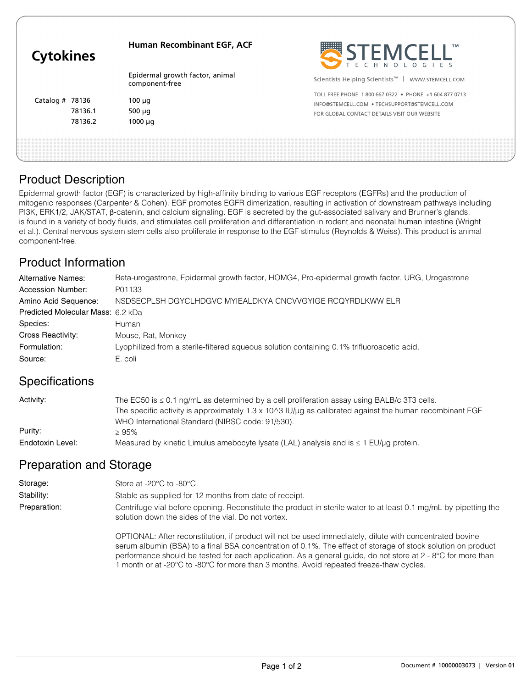| <b>Cytokines</b>  |         | <b>Human Recombinant EGF, ACF</b>                 | STEMCELL"                                                     |
|-------------------|---------|---------------------------------------------------|---------------------------------------------------------------|
|                   |         | Epidermal growth factor, animal<br>component-free | Scientists Helping Scientists <sup>™</sup>   WWW.STEMCELL.COM |
| Catalog # $78136$ |         |                                                   | TOLL FREE PHONE 1800 667 0322 . PHONE +1 604 877 0713         |
|                   |         | $100 \mu g$                                       | INFO@STEMCELL.COM . TECHSUPPORT@STEMCELL.COM                  |
|                   | 78136.1 | $500 \mu g$                                       | FOR GLOBAL CONTACT DETAILS VISIT OUR WEBSITE                  |
|                   | 78136.2 | $1000 \mu q$                                      |                                                               |
|                   |         |                                                   |                                                               |

### Product Description

Epidermal growth factor (EGF) is characterized by high-affinity binding to various EGF receptors (EGFRs) and the production of mitogenic responses (Carpenter & Cohen). EGF promotes EGFR dimerization, resulting in activation of downstream pathways including PI3K, ERK1/2, JAK/STAT, β-catenin, and calcium signaling. EGF is secreted by the gut-associated salivary and Brunner's glands, is found in a variety of body fluids, and stimulates cell proliferation and differentiation in rodent and neonatal human intestine (Wright et al.). Central nervous system stem cells also proliferate in response to the EGF stimulus (Reynolds & Weiss). This product is animal component-free.

# Product Information

| <b>Alternative Names:</b>         | Beta-urogastrone, Epidermal growth factor, HOMG4, Pro-epidermal growth factor, URG, Urogastrone |
|-----------------------------------|-------------------------------------------------------------------------------------------------|
| Accession Number:                 | P01133                                                                                          |
| Amino Acid Sequence:              | NSDSECPLSH DGYCLHDGVC MYIEALDKYA CNCVVGYIGE RCQYRDLKWW ELR                                      |
| Predicted Molecular Mass: 6.2 kDa |                                                                                                 |
| Species:                          | Human                                                                                           |
| Cross Reactivity:                 | Mouse, Rat, Monkey                                                                              |
| Formulation:                      | Lyophilized from a sterile-filtered agueous solution containing 0.1% trifluoroacetic acid.      |
| Source:                           | E. coli                                                                                         |
|                                   |                                                                                                 |

### **Specifications**

| Activity:        | The EC50 is $\leq$ 0.1 ng/mL as determined by a cell proliferation assay using BALB/c 3T3 cells.        |
|------------------|---------------------------------------------------------------------------------------------------------|
|                  | The specific activity is approximately 1.3 x 10^3 IU/µq as calibrated against the human recombinant EGF |
|                  | WHO International Standard (NIBSC code: 91/530).                                                        |
| Purity:          | > 95%                                                                                                   |
| Endotoxin Level: | Measured by kinetic Limulus amebocyte lysate (LAL) analysis and is $\leq 1$ EU/ $\mu$ g protein.        |

# Preparation and Storage

| Storage:     | Store at -20 $\degree$ C to -80 $\degree$ C.                                                                                                                            |  |
|--------------|-------------------------------------------------------------------------------------------------------------------------------------------------------------------------|--|
| Stability:   | Stable as supplied for 12 months from date of receipt.                                                                                                                  |  |
| Preparation: | Centrifuge vial before opening. Reconstitute the product in sterile water to at least 0.1 mg/mL by pipetting the<br>solution down the sides of the vial. Do not vortex. |  |

OPTIONAL: After reconstitution, if product will not be used immediately, dilute with concentrated bovine serum albumin (BSA) to a final BSA concentration of 0.1%. The effect of storage of stock solution on product performance should be tested for each application. As a general guide, do not store at 2 - 8°C for more than 1 month or at -20°C to -80°C for more than 3 months. Avoid repeated freeze-thaw cycles.